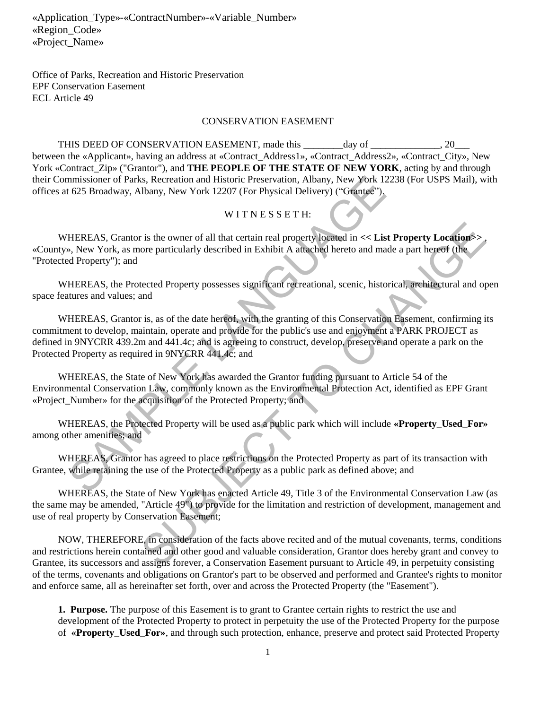Office of Parks, Recreation and Historic Preservation EPF Conservation Easement ECL Article 49

#### CONSERVATION EASEMENT

THIS DEED OF CONSERVATION EASEMENT, made this day of  $\qquad \qquad$  20 between the «Applicant», having an address at «Contract\_Address1», «Contract\_Address2», «Contract\_City», New York «Contract Zip» ("Grantor"), and **THE PEOPLE OF THE STATE OF NEW YORK**, acting by and through their Commissioner of Parks, Recreation and Historic Preservation, Albany, New York 12238 (For USPS Mail), with offices at 625 Broadway, Albany, New York 12207 (For Physical Delivery) ("Grantee").

#### WITNESSETH:

WHEREAS, Grantor is the owner of all that certain real property located in  $<<$  **List Property Location**>> «County», New York, as more particularly described in Exhibit A attached hereto and made a part hereof (the "Protected Property"); and

WHEREAS, the Protected Property possesses significant recreational, scenic, historical, architectural and open space features and values; and

WHEREAS, Grantor is, as of the date hereof, with the granting of this Conservation Easement, confirming its commitment to develop, maintain, operate and provide for the public's use and enjoyment a PARK PROJECT as defined in 9NYCRR 439.2m and 441.4c; and is agreeing to construct, develop, preserve and operate a park on the Protected Property as required in 9NYCRR 441.4c; and mmissioner of Parks, Recreation and Historic Preservation, Albany, New York 1223<br>
1625 Broadway, Albany, New York 12207 (For Physical Delivery) ("Grantee"),<br>
W ITN E S S ET H:<br>
HEREAS, Grantor is the owner of all that cert is the owner of all that certain real property located in  $\ll$  List Property Locations-<br>ore particularly described in Exhibit A attached hereto and made a part hereof (the<br>receted Property possesses significant recreation

WHEREAS, the State of New York has awarded the Grantor funding pursuant to Article 54 of the Environmental Conservation Law, commonly known as the Environmental Protection Act, identified as EPF Grant «Project Number» for the acquisition of the Protected Property; and

WHEREAS, the Protected Property will be used as a public park which will include **«Property Used For»** among other amenities; and

WHEREAS, Grantor has agreed to place restrictions on the Protected Property as part of its transaction with Grantee, while retaining the use of the Protected Property as a public park as defined above; and

WHEREAS, the State of New York has enacted Article 49, Title 3 of the Environmental Conservation Law (as the same may be amended, "Article 49") to provide for the limitation and restriction of development, management and use of real property by Conservation Easement;

NOW, THEREFORE, in consideration of the facts above recited and of the mutual covenants, terms, conditions and restrictions herein contained and other good and valuable consideration, Grantor does hereby grant and convey to Grantee, its successors and assigns forever, a Conservation Easement pursuant to Article 49, in perpetuity consisting of the terms, covenants and obligations on Grantor's part to be observed and performed and Grantee's rights to monitor and enforce same, all as hereinafter set forth, over and across the Protected Property (the "Easement").

**1. Purpose.** The purpose of this Easement is to grant to Grantee certain rights to restrict the use and development of the Protected Property to protect in perpetuity the use of the Protected Property for the purpose of **«Property\_Used\_For»**, and through such protection, enhance, preserve and protect said Protected Property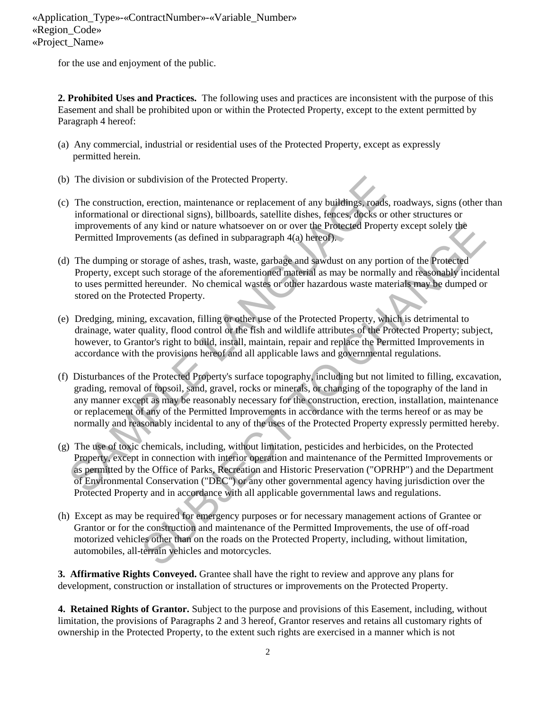for the use and enjoyment of the public.

**2. Prohibited Uses and Practices.** The following uses and practices are inconsistent with the purpose of this Easement and shall be prohibited upon or within the Protected Property, except to the extent permitted by Paragraph 4 hereof:

- (a) Any commercial, industrial or residential uses of the Protected Property, except as expressly permitted herein.
- (b) The division or subdivision of the Protected Property.
- (c) The construction, erection, maintenance or replacement of any buildings, roads, roadways, signs (other than informational or directional signs), billboards, satellite dishes, fences, docks or other structures or improvements of any kind or nature whatsoever on or over the Protected Property except solely the Permitted Improvements (as defined in subparagraph 4(a) hereof).
- (d) The dumping or storage of ashes, trash, waste, garbage and sawdust on any portion of the Protected Property, except such storage of the aforementioned material as may be normally and reasonably incidental to uses permitted hereunder. No chemical wastes or other hazardous waste materials may be dumped or stored on the Protected Property.
- (e) Dredging, mining, excavation, filling or other use of the Protected Property, which is detrimental to drainage, water quality, flood control or the fish and wildlife attributes of the Protected Property; subject, however, to Grantor's right to build, install, maintain, repair and replace the Permitted Improvements in accordance with the provisions hereof and all applicable laws and governmental regulations.
- (f) Disturbances of the Protected Property's surface topography, including but not limited to filling, excavation, grading, removal of topsoil, sand, gravel, rocks or minerals, or changing of the topography of the land in any manner except as may be reasonably necessary for the construction, erection, installation, maintenance or replacement of any of the Permitted Improvements in accordance with the terms hereof or as may be normally and reasonably incidental to any of the uses of the Protected Property expressly permitted hereby. The division or subdivision of the Protected Property.<br>
The construction, erection, maintenance or replacement of any buildings, roads, ro<br>
informational or directional signs, billboards, satellite dishes, feaces, docks o The system of a state whatsoever on or over the Protected Property except solely the<br>
stements (as defined in subparagraph 4(a) hereof).<br>
storage of abses, trash, wate, gurange and sawdust on any portion of the Protected<br>
- (g) The use of toxic chemicals, including, without limitation, pesticides and herbicides, on the Protected Property, except in connection with interior operation and maintenance of the Permitted Improvements or as permitted by the Office of Parks, Recreation and Historic Preservation ("OPRHP") and the Department of Environmental Conservation ("DEC") or any other governmental agency having jurisdiction over the Protected Property and in accordance with all applicable governmental laws and regulations.
- (h) Except as may be required for emergency purposes or for necessary management actions of Grantee or Grantor or for the construction and maintenance of the Permitted Improvements, the use of off-road motorized vehicles other than on the roads on the Protected Property, including, without limitation, automobiles, all-terrain vehicles and motorcycles.

**3. Affirmative Rights Conveyed.** Grantee shall have the right to review and approve any plans for development, construction or installation of structures or improvements on the Protected Property.

 **4. Retained Rights of Grantor.** Subject to the purpose and provisions of this Easement, including, without limitation, the provisions of Paragraphs 2 and 3 hereof, Grantor reserves and retains all customary rights of ownership in the Protected Property, to the extent such rights are exercised in a manner which is not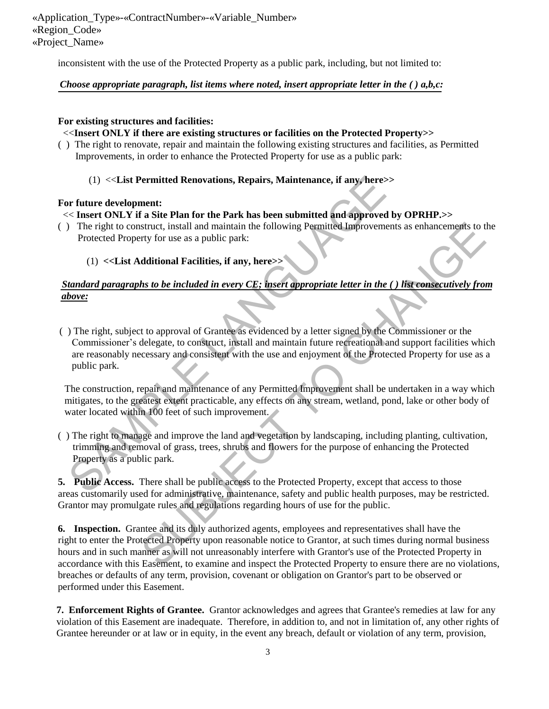inconsistent with the use of the Protected Property as a public park, including, but not limited to:

### *Choose appropriate paragraph, list items where noted, insert appropriate letter in the ( ) a,b,c:*

### **For existing structures and facilities:**

### <<**Insert ONLY if there are existing structures or facilities on the Protected Property>>**

- ( )The right to renovate, repair and maintain the following existing structures and facilities, as Permitted Improvements, in order to enhance the Protected Property for use as a public park:
	- (1) <<**List Permitted Renovations, Repairs, Maintenance, if any, here>>**

### **For future development:**

# << **Insert ONLY if a Site Plan for the Park has been submitted and approved by OPRHP.>>**

- ( )The right to construct, install and maintain the following Permitted Improvements as enhancements to the Protected Property for use as a public park:
	- (1) **<<List Additional Facilities, if any, here>>**

# *Standard paragraphs to be included in every CE; insert appropriate letter in the ( ) list consecutively from above:*

( ) The right, subject to approval of Grantee as evidenced by a letter signed by the Commissioner or the Commissioner's delegate, to construct, install and maintain future recreational and support facilities which are reasonably necessary and consistent with the use and enjoyment of the Protected Property for use as a public park. (1) <<List Permitted Renovations, Repairs, Maintenance, if any, here><br>
So that the development:<br>
So the Site Plan for the Park has been submitted and approved by<br>
The right to construct, install and maintain the following struct, install and maintain the following Permitted Improvements as enhancements to the<br>rty for use as a public park:<br>
dditional Facilities, if any, here $>>$ <br>
hs to be included in every CE: insert appropriate letter in th

The construction, repair and maintenance of any Permitted Improvement shall be undertaken in a way which mitigates, to the greatest extent practicable, any effects on any stream, wetland, pond, lake or other body of water located within 100 feet of such improvement.

( ) The right to manage and improve the land and vegetation by landscaping, including planting, cultivation, trimming and removal of grass, trees, shrubs and flowers for the purpose of enhancing the Protected Property as a public park.

**5. Public Access.** There shall be public access to the Protected Property, except that access to those areas customarily used for administrative, maintenance, safety and public health purposes, may be restricted. Grantor may promulgate rules and regulations regarding hours of use for the public.

**6. Inspection.** Grantee and its duly authorized agents, employees and representatives shall have the right to enter the Protected Property upon reasonable notice to Grantor, at such times during normal business hours and in such manner as will not unreasonably interfere with Grantor's use of the Protected Property in accordance with this Easement, to examine and inspect the Protected Property to ensure there are no violations, breaches or defaults of any term, provision, covenant or obligation on Grantor's part to be observed or performed under this Easement.

**7. Enforcement Rights of Grantee.** Grantor acknowledges and agrees that Grantee's remedies at law for any violation of this Easement are inadequate. Therefore, in addition to, and not in limitation of, any other rights of Grantee hereunder or at law or in equity, in the event any breach, default or violation of any term, provision,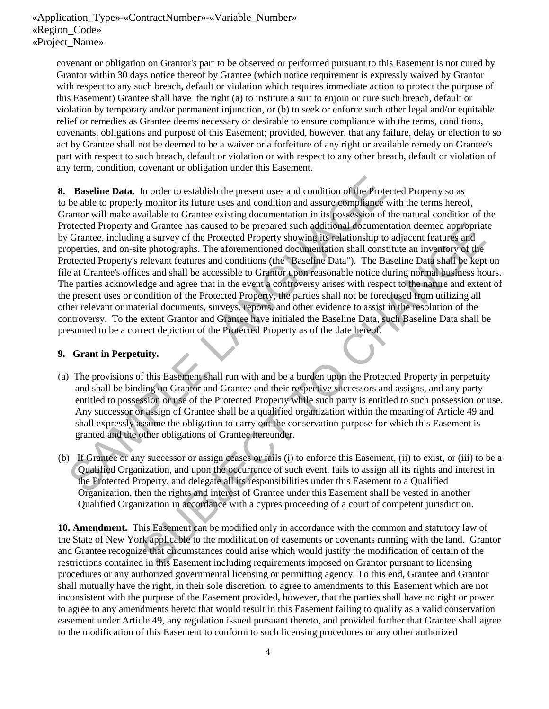covenant or obligation on Grantor's part to be observed or performed pursuant to this Easement is not cured by Grantor within 30 days notice thereof by Grantee (which notice requirement is expressly waived by Grantor with respect to any such breach, default or violation which requires immediate action to protect the purpose of this Easement) Grantee shall have the right (a) to institute a suit to enjoin or cure such breach, default or violation by temporary and/or permanent injunction, or (b) to seek or enforce such other legal and/or equitable relief or remedies as Grantee deems necessary or desirable to ensure compliance with the terms, conditions, covenants, obligations and purpose of this Easement; provided, however, that any failure, delay or election to so act by Grantee shall not be deemed to be a waiver or a forfeiture of any right or available remedy on Grantee's part with respect to such breach, default or violation or with respect to any other breach, default or violation of any term, condition, covenant or obligation under this Easement.

**8. Baseline Data.** In order to establish the present uses and condition of the Protected Property so as to be able to properly monitor its future uses and condition and assure compliance with the terms hereof, Grantor will make available to Grantee existing documentation in its possession of the natural condition of the Protected Property and Grantee has caused to be prepared such additional documentation deemed appropriate by Grantee, including a survey of the Protected Property showing its relationship to adjacent features and properties, and on-site photographs. The aforementioned documentation shall constitute an inventory of the Protected Property's relevant features and conditions (the "Baseline Data"). The Baseline Data shall be kept on file at Grantee's offices and shall be accessible to Grantor upon reasonable notice during normal business hours. The parties acknowledge and agree that in the event a controversy arises with respect to the nature and extent of the present uses or condition of the Protected Property, the parties shall not be foreclosed from utilizing all other relevant or material documents, surveys, reports, and other evidence to assist in the resolution of the controversy. To the extent Grantor and Grantee have initialed the Baseline Data, such Baseline Data shall be presumed to be a correct depiction of the Protected Property as of the date hereof. **Baseline Data.** In order to establish the present uses and condition of the Protecte<br>be able to properly monitor its future uses and condition and assure compliance with<br>mature vill make available to Grantee existing doc In Grantee has caused to be prepared such deditional documentation decente appropriate<br>a starvey of the Protected Property showing its relationship to adjacent features and<br>e photographs. The aforementioned documentation s

## **9. Grant in Perpetuity.**

- (a) The provisions of this Easement shall run with and be a burden upon the Protected Property in perpetuity and shall be binding on Grantor and Grantee and their respective successors and assigns, and any party entitled to possession or use of the Protected Property while such party is entitled to such possession or use. Any successor or assign of Grantee shall be a qualified organization within the meaning of Article 49 and shall expressly assume the obligation to carry out the conservation purpose for which this Easement is granted and the other obligations of Grantee hereunder.
- (b) If Grantee or any successor or assign ceases or fails (i) to enforce this Easement, (ii) to exist, or (iii) to be a Qualified Organization, and upon the occurrence of such event, fails to assign all its rights and interest in the Protected Property, and delegate all its responsibilities under this Easement to a Qualified Organization, then the rights and interest of Grantee under this Easement shall be vested in another Qualified Organization in accordance with a cypres proceeding of a court of competent jurisdiction.

**10. Amendment.** This Easement can be modified only in accordance with the common and statutory law of the State of New York applicable to the modification of easements or covenants running with the land. Grantor and Grantee recognize that circumstances could arise which would justify the modification of certain of the restrictions contained in this Easement including requirements imposed on Grantor pursuant to licensing procedures or any authorized governmental licensing or permitting agency. To this end, Grantee and Grantor shall mutually have the right, in their sole discretion, to agree to amendments to this Easement which are not inconsistent with the purpose of the Easement provided, however, that the parties shall have no right or power to agree to any amendments hereto that would result in this Easement failing to qualify as a valid conservation easement under Article 49, any regulation issued pursuant thereto, and provided further that Grantee shall agree to the modification of this Easement to conform to such licensing procedures or any other authorized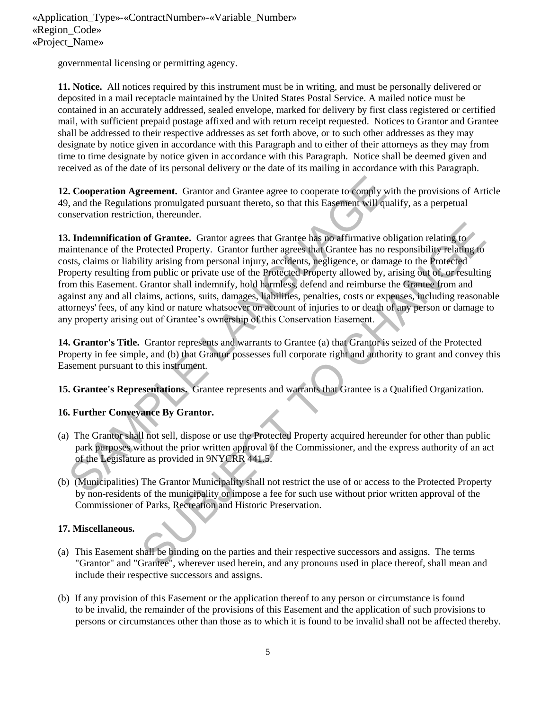governmental licensing or permitting agency.

**11. Notice.** All notices required by this instrument must be in writing, and must be personally delivered or deposited in a mail receptacle maintained by the United States Postal Service. A mailed notice must be contained in an accurately addressed, sealed envelope, marked for delivery by first class registered or certified mail, with sufficient prepaid postage affixed and with return receipt requested. Notices to Grantor and Grantee shall be addressed to their respective addresses as set forth above, or to such other addresses as they may designate by notice given in accordance with this Paragraph and to either of their attorneys as they may from time to time designate by notice given in accordance with this Paragraph. Notice shall be deemed given and received as of the date of its personal delivery or the date of its mailing in accordance with this Paragraph.

**12. Cooperation Agreement.** Grantor and Grantee agree to cooperate to comply with the provisions of Article 49, and the Regulations promulgated pursuant thereto, so that this Easement will qualify, as a perpetual conservation restriction, thereunder.

**13. Indemnification of Grantee.** Grantor agrees that Grantee has no affirmative obligation relating to maintenance of the Protected Property. Grantor further agrees that Grantee has no responsibility relating to costs, claims or liability arising from personal injury, accidents, negligence, or damage to the Protected Property resulting from public or private use of the Protected Property allowed by, arising out of, or resulting from this Easement. Grantor shall indemnify, hold harmless, defend and reimburse the Grantee from and against any and all claims, actions, suits, damages, liabilities, penalties, costs or expenses, including reasonable attorneys' fees, of any kind or nature whatsoever on account of injuries to or death of any person or damage to any property arising out of Grantee's ownership of this Conservation Easement. **Cooperation Agreement.** Grantor and Grantee agree to cooperate to comply with, and the Regulations promulgated pursuant thereto, so that this Easement will quali<br>nservation restriction, thereunder.<br> **L. Indemnification o** of Grantee. Grantor agrees that Grantee has no affirmative obligation relating to<br>
rotected Property. Grantor further agrees that Grantee has no responsibility relating (b)<br>
ity arising from presonal injury, accidents, neg

**14. Grantor's Title.** Grantor represents and warrants to Grantee (a) that Grantor is seized of the Protected Property in fee simple, and (b) that Grantor possesses full corporate right and authority to grant and convey this Easement pursuant to this instrument.

**15. Grantee's Representations.** Grantee represents and warrants that Grantee is a Qualified Organization.

## **16. Further Conveyance By Grantor.**

- (a) The Grantor shall not sell, dispose or use the Protected Property acquired hereunder for other than public park purposes without the prior written approval of the Commissioner, and the express authority of an act of the Legislature as provided in 9NYCRR 441.5.
- (b) (Municipalities) The Grantor Municipality shall not restrict the use of or access to the Protected Property by non-residents of the municipality or impose a fee for such use without prior written approval of the Commissioner of Parks, Recreation and Historic Preservation.

## **17. Miscellaneous.**

- (a) This Easement shall be binding on the parties and their respective successors and assigns. The terms "Grantor" and "Grantee", wherever used herein, and any pronouns used in place thereof, shall mean and include their respective successors and assigns.
- (b) If any provision of this Easement or the application thereof to any person or circumstance is found to be invalid, the remainder of the provisions of this Easement and the application of such provisions to persons or circumstances other than those as to which it is found to be invalid shall not be affected thereby.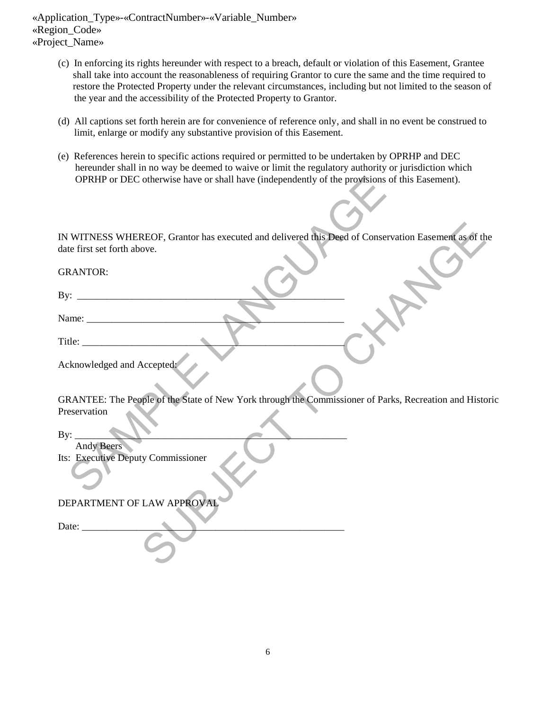- (c) In enforcing its rights hereunder with respect to a breach, default or violation of this Easement, Grantee shall take into account the reasonableness of requiring Grantor to cure the same and the time required to restore the Protected Property under the relevant circumstances, including but not limited to the season of the year and the accessibility of the Protected Property to Grantor.
- (d) All captions set forth herein are for convenience of reference only, and shall in no event be construed to limit, enlarge or modify any substantive provision of this Easement.
- (e) References herein to specific actions required or permitted to be undertaken by OPRHP and DEC hereunder shall in no way be deemed to waive or limit the regulatory authority or jurisdiction which OPRHP or DEC otherwise have or shall have (independently of the provisions of this Easement).

| IN WITNESS WHEREOF, Grantor has executed and delivered this Deed of Conservation Easement as of the                     |
|-------------------------------------------------------------------------------------------------------------------------|
|                                                                                                                         |
|                                                                                                                         |
|                                                                                                                         |
| date first set forth above.                                                                                             |
| <b>GRANTOR:</b>                                                                                                         |
|                                                                                                                         |
|                                                                                                                         |
|                                                                                                                         |
|                                                                                                                         |
|                                                                                                                         |
| Acknowledged and Accepted:                                                                                              |
|                                                                                                                         |
|                                                                                                                         |
| GRANTEE: The People of the State of New York through the Commissioner of Parks, Recreation and Historic<br>Preservation |
|                                                                                                                         |
|                                                                                                                         |
| Andy Beers<br>Its: Executive Deputy Commissioner                                                                        |
|                                                                                                                         |
|                                                                                                                         |
| DEPARTMENT OF LAW APPROVAL                                                                                              |
|                                                                                                                         |
| Date: $\_\_$                                                                                                            |
|                                                                                                                         |
|                                                                                                                         |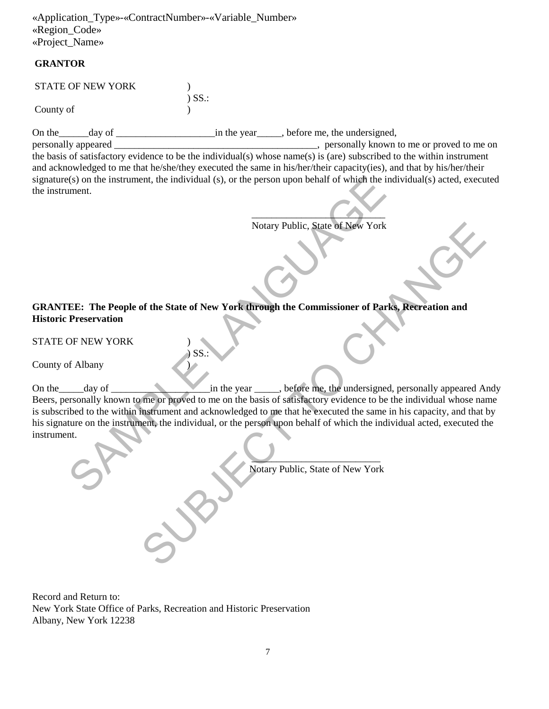### **GRANTOR**

| <b>STATE OF NEW YORK</b> |             |
|--------------------------|-------------|
|                          | $\sum$ SS.: |
| County of                |             |

On the\_\_\_\_\_\_day of \_\_\_\_\_\_\_\_\_\_\_\_\_\_\_\_\_\_\_\_in the year\_\_\_\_\_, before me, the undersigned,

personally appeared \_\_\_\_\_\_\_\_\_\_\_\_\_\_\_\_\_\_\_\_\_\_\_\_\_\_\_\_\_\_\_\_\_\_\_\_\_\_\_\_\_, personally known to me or proved to me on the basis of satisfactory evidence to be the individual(s) whose name(s) is (are) subscribed to the within instrument and acknowledged to me that he/she/they executed the same in his/her/their capacity(ies), and that by his/her/their signature(s) on the instrument, the individual (s), or the person upon behalf of which the individual(s) acted, executed the instrument.

 $\overline{\phantom{a}}$ Notary Public, State of New York

**GRANTEE: The People of the State of New York through the Commissioner of Parks, Recreation and Historic Preservation** 

STATE OF NEW YORK )

 $\big)$  SS.:

County of Albany )

On the\_\_\_\_\_day of \_\_\_\_\_\_\_\_\_\_\_\_\_\_\_\_\_\_\_\_in the year \_\_\_\_\_, before me, the undersigned, personally appeared Andy Beers, personally known to me or proved to me on the basis of satisfactory evidence to be the individual whose name is subscribed to the within instrument and acknowledged to me that he executed the same in his capacity, and that by his signature on the instrument, the individual, or the person upon behalf of which the individual acted, executed the instrument. (s) on the instrument, the individual (s), or the person upon behalf of which the indi-<br>
ment.<br>
Solvey Public, State of New York<br>
State of New York<br>
The People of the State of New York through the Commissioner of Parks,<br>
P Notary Public. State of New York<br>
Subsequence of Parks, Recreation and<br>
SSS:<br>
SS:<br>
SS:<br>
SS:<br>
In the year the commissioner of Parks, Recreation and<br>
SS:<br>
In the year the change of the change of the individual whose name<br>
in

Notary Public, State of New York

Record and Return to: New York State Office of Parks, Recreation and Historic Preservation Albany, New York 12238

 $\blacksquare$